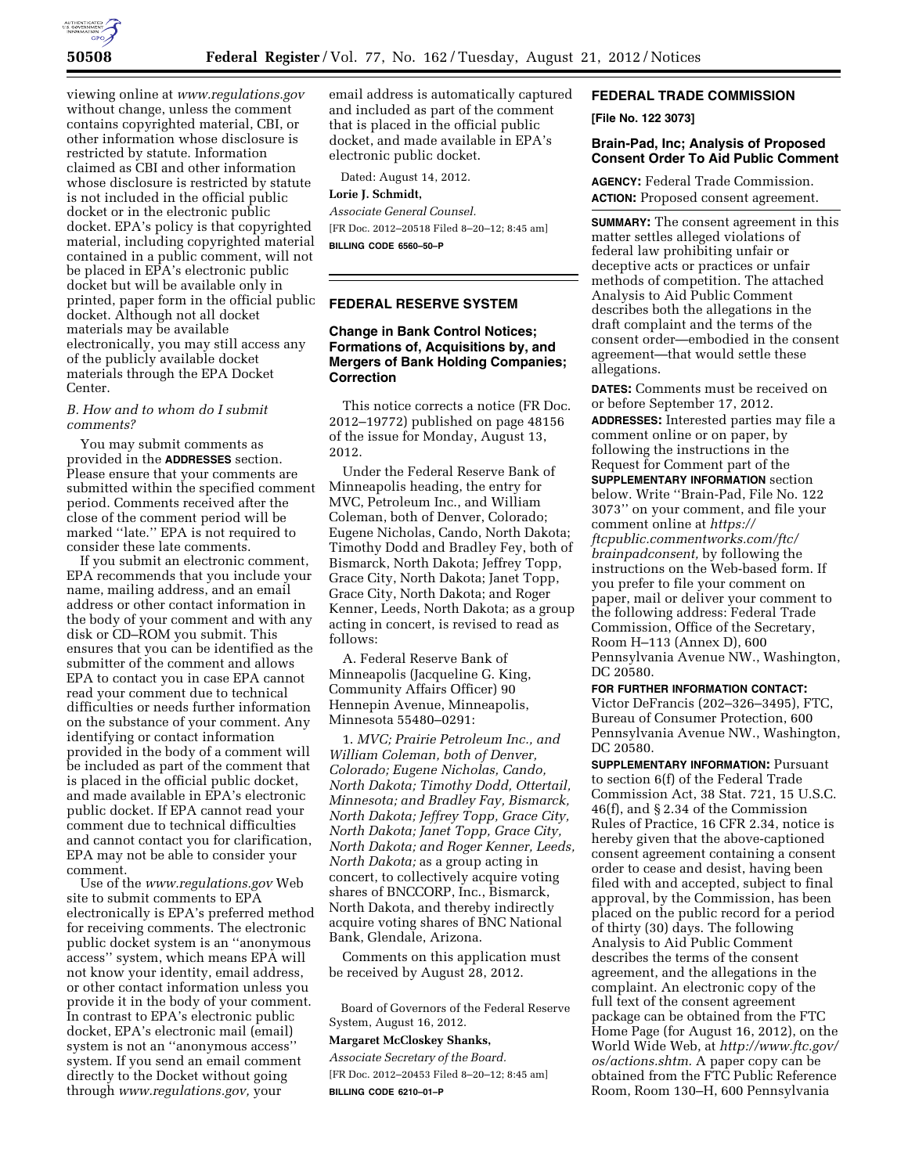

viewing online at *[www.regulations.gov](http://www.regulations.gov)*  without change, unless the comment contains copyrighted material, CBI, or other information whose disclosure is restricted by statute. Information claimed as CBI and other information whose disclosure is restricted by statute is not included in the official public docket or in the electronic public docket. EPA's policy is that copyrighted material, including copyrighted material contained in a public comment, will not be placed in EPA's electronic public docket but will be available only in printed, paper form in the official public docket. Although not all docket materials may be available electronically, you may still access any of the publicly available docket materials through the EPA Docket Center.

### *B. How and to whom do I submit comments?*

You may submit comments as provided in the **ADDRESSES** section. Please ensure that your comments are submitted within the specified comment period. Comments received after the close of the comment period will be marked ''late.'' EPA is not required to consider these late comments.

If you submit an electronic comment, EPA recommends that you include your name, mailing address, and an email address or other contact information in the body of your comment and with any disk or CD–ROM you submit. This ensures that you can be identified as the submitter of the comment and allows EPA to contact you in case EPA cannot read your comment due to technical difficulties or needs further information on the substance of your comment. Any identifying or contact information provided in the body of a comment will be included as part of the comment that is placed in the official public docket, and made available in EPA's electronic public docket. If EPA cannot read your comment due to technical difficulties and cannot contact you for clarification, EPA may not be able to consider your comment.

Use of the *[www.regulations.gov](http://www.regulations.gov)* Web site to submit comments to EPA electronically is EPA's preferred method for receiving comments. The electronic public docket system is an ''anonymous access'' system, which means EPA will not know your identity, email address, or other contact information unless you provide it in the body of your comment. In contrast to EPA's electronic public docket, EPA's electronic mail (email) system is not an ''anonymous access'' system. If you send an email comment directly to the Docket without going through *[www.regulations.gov,](http://www.regulations.gov)* your

email address is automatically captured and included as part of the comment that is placed in the official public docket, and made available in EPA's electronic public docket.

Dated: August 14, 2012.

## **Lorie J. Schmidt,**

*Associate General Counsel.*  [FR Doc. 2012–20518 Filed 8–20–12; 8:45 am]

**BILLING CODE 6560–50–P** 

### **FEDERAL RESERVE SYSTEM**

## **Change in Bank Control Notices; Formations of, Acquisitions by, and Mergers of Bank Holding Companies; Correction**

This notice corrects a notice (FR Doc. 2012–19772) published on page 48156 of the issue for Monday, August 13, 2012.

Under the Federal Reserve Bank of Minneapolis heading, the entry for MVC, Petroleum Inc., and William Coleman, both of Denver, Colorado; Eugene Nicholas, Cando, North Dakota; Timothy Dodd and Bradley Fey, both of Bismarck, North Dakota; Jeffrey Topp, Grace City, North Dakota; Janet Topp, Grace City, North Dakota; and Roger Kenner, Leeds, North Dakota; as a group acting in concert, is revised to read as follows:

A. Federal Reserve Bank of Minneapolis (Jacqueline G. King, Community Affairs Officer) 90 Hennepin Avenue, Minneapolis, Minnesota 55480–0291:

1. *MVC; Prairie Petroleum Inc., and William Coleman, both of Denver, Colorado; Eugene Nicholas, Cando, North Dakota; Timothy Dodd, Ottertail, Minnesota; and Bradley Fay, Bismarck, North Dakota; Jeffrey Topp, Grace City, North Dakota; Janet Topp, Grace City, North Dakota; and Roger Kenner, Leeds, North Dakota;* as a group acting in concert, to collectively acquire voting shares of BNCCORP, Inc., Bismarck, North Dakota, and thereby indirectly acquire voting shares of BNC National Bank, Glendale, Arizona.

Comments on this application must be received by August 28, 2012.

Board of Governors of the Federal Reserve System, August 16, 2012.

### **Margaret McCloskey Shanks,**

*Associate Secretary of the Board.*  [FR Doc. 2012–20453 Filed 8–20–12; 8:45 am] **BILLING CODE 6210–01–P** 

# **FEDERAL TRADE COMMISSION**

**[File No. 122 3073]** 

## **Brain-Pad, Inc; Analysis of Proposed Consent Order To Aid Public Comment**

**AGENCY:** Federal Trade Commission. **ACTION:** Proposed consent agreement.

**SUMMARY:** The consent agreement in this matter settles alleged violations of federal law prohibiting unfair or deceptive acts or practices or unfair methods of competition. The attached Analysis to Aid Public Comment describes both the allegations in the draft complaint and the terms of the consent order—embodied in the consent agreement—that would settle these allegations.

**DATES:** Comments must be received on or before September 17, 2012.

**ADDRESSES:** Interested parties may file a comment online or on paper, by following the instructions in the Request for Comment part of the **SUPPLEMENTARY INFORMATION** section below. Write ''Brain-Pad, File No. 122 3073'' on your comment, and file your comment online at *[https://](https://ftcpublic.commentworks.com/ftc/brainpadconsent) [ftcpublic.commentworks.com/ftc/](https://ftcpublic.commentworks.com/ftc/brainpadconsent)  [brainpadconsent,](https://ftcpublic.commentworks.com/ftc/brainpadconsent)* by following the instructions on the Web-based form. If you prefer to file your comment on paper, mail or deliver your comment to the following address: Federal Trade Commission, Office of the Secretary, Room H–113 (Annex D), 600 Pennsylvania Avenue NW., Washington, DC 20580.

**FOR FURTHER INFORMATION CONTACT:**  Victor DeFrancis (202–326–3495), FTC, Bureau of Consumer Protection, 600 Pennsylvania Avenue NW., Washington, DC 20580.

**SUPPLEMENTARY INFORMATION: Pursuant** to section 6(f) of the Federal Trade Commission Act, 38 Stat. 721, 15 U.S.C. 46(f), and § 2.34 of the Commission Rules of Practice, 16 CFR 2.34, notice is hereby given that the above-captioned consent agreement containing a consent order to cease and desist, having been filed with and accepted, subject to final approval, by the Commission, has been placed on the public record for a period of thirty (30) days. The following Analysis to Aid Public Comment describes the terms of the consent agreement, and the allegations in the complaint. An electronic copy of the full text of the consent agreement package can be obtained from the FTC Home Page (for August 16, 2012), on the World Wide Web, at *[http://www.ftc.gov/](http://www.ftc.gov/os/actions.shtm)  [os/actions.shtm.](http://www.ftc.gov/os/actions.shtm)* A paper copy can be obtained from the FTC Public Reference Room, Room 130–H, 600 Pennsylvania